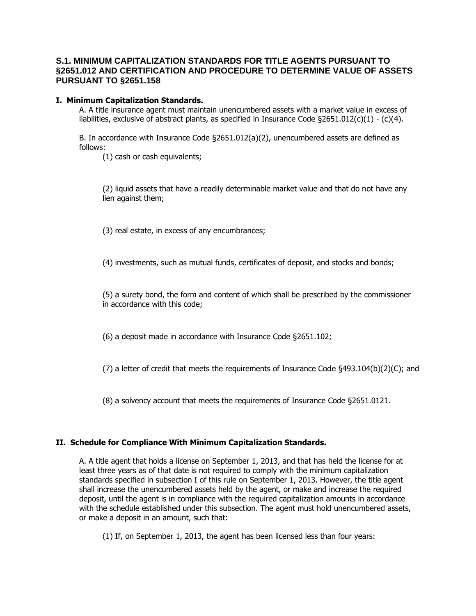## **S.1. MINIMUM CAPITALIZATION STANDARDS FOR TITLE AGENTS PURSUANT TO §2651.012 AND CERTIFICATION AND PROCEDURE TO DETERMINE VALUE OF ASSETS PURSUANT TO §2651.158**

## **I. Minimum Capitalization Standards.**

A. A title insurance agent must maintain unencumbered assets with a market value in excess of liabilities, exclusive of abstract plants, as specified in Insurance Code  $\S2651.012(c)(1)$  - (c)(4).

B. In accordance with Insurance Code §2651.012(a)(2), unencumbered assets are defined as follows:

(1) cash or cash equivalents;

(2) liquid assets that have a readily determinable market value and that do not have any lien against them;

(3) real estate, in excess of any encumbrances;

(4) investments, such as mutual funds, certificates of deposit, and stocks and bonds;

(5) a surety bond, the form and content of which shall be prescribed by the commissioner in accordance with this code;

(6) a deposit made in accordance with Insurance Code §2651.102;

(7) a letter of credit that meets the requirements of Insurance Code  $\S493.104(b)(2)(C)$ ; and

(8) a solvency account that meets the requirements of Insurance Code §2651.0121.

## **II. Schedule for Compliance With Minimum Capitalization Standards.**

A. A title agent that holds a license on September 1, 2013, and that has held the license for at least three years as of that date is not required to comply with the minimum capitalization standards specified in subsection I of this rule on September 1, 2013. However, the title agent shall increase the unencumbered assets held by the agent, or make and increase the required deposit, until the agent is in compliance with the required capitalization amounts in accordance with the schedule established under this subsection. The agent must hold unencumbered assets, or make a deposit in an amount, such that:

(1) If, on September 1, 2013, the agent has been licensed less than four years: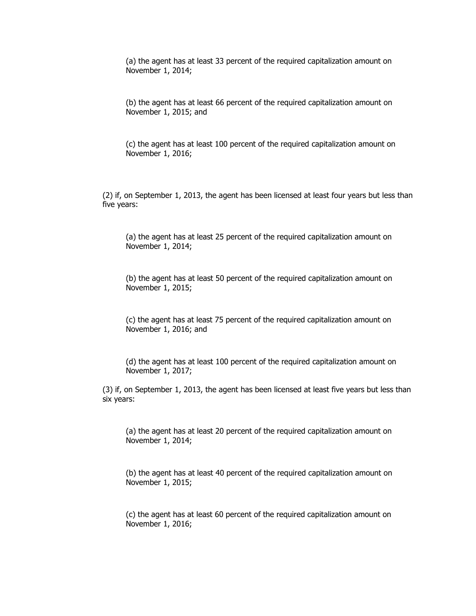(a) the agent has at least 33 percent of the required capitalization amount on November 1, 2014;

(b) the agent has at least 66 percent of the required capitalization amount on November 1, 2015; and

(c) the agent has at least 100 percent of the required capitalization amount on November 1, 2016;

(2) if, on September 1, 2013, the agent has been licensed at least four years but less than five years:

(a) the agent has at least 25 percent of the required capitalization amount on November 1, 2014;

(b) the agent has at least 50 percent of the required capitalization amount on November 1, 2015;

(c) the agent has at least 75 percent of the required capitalization amount on November 1, 2016; and

(d) the agent has at least 100 percent of the required capitalization amount on November 1, 2017;

(3) if, on September 1, 2013, the agent has been licensed at least five years but less than six years:

(a) the agent has at least 20 percent of the required capitalization amount on November 1, 2014;

(b) the agent has at least 40 percent of the required capitalization amount on November 1, 2015;

(c) the agent has at least 60 percent of the required capitalization amount on November 1, 2016;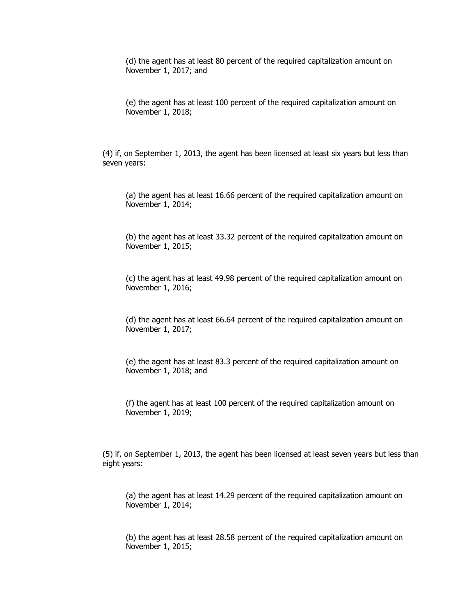(d) the agent has at least 80 percent of the required capitalization amount on November 1, 2017; and

(e) the agent has at least 100 percent of the required capitalization amount on November 1, 2018;

(4) if, on September 1, 2013, the agent has been licensed at least six years but less than seven years:

(a) the agent has at least 16.66 percent of the required capitalization amount on November 1, 2014;

(b) the agent has at least 33.32 percent of the required capitalization amount on November 1, 2015;

(c) the agent has at least 49.98 percent of the required capitalization amount on November 1, 2016;

(d) the agent has at least 66.64 percent of the required capitalization amount on November 1, 2017;

(e) the agent has at least 83.3 percent of the required capitalization amount on November 1, 2018; and

(f) the agent has at least 100 percent of the required capitalization amount on November 1, 2019;

(5) if, on September 1, 2013, the agent has been licensed at least seven years but less than eight years:

(a) the agent has at least 14.29 percent of the required capitalization amount on November 1, 2014;

(b) the agent has at least 28.58 percent of the required capitalization amount on November 1, 2015;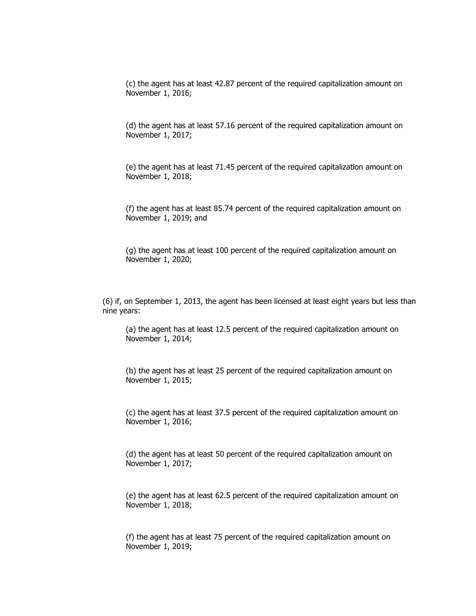(c) the agent has at least 42.87 percent of the required capitalization amount on November 1, 2016;

(d) the agent has at least 57.16 percent of the required capitalization amount on November 1, 2017;

(e) the agent has at least 71.45 percent of the required capitalization amount on November 1, 2018;

(f) the agent has at least 85.74 percent of the required capitalization amount on November 1, 2019; and

(g) the agent has at least 100 percent of the required capitalization amount on November 1, 2020;

(6) if, on September 1, 2013, the agent has been licensed at least eight years but less than nine years:

(a) the agent has at least 12.5 percent of the required capitalization amount on November 1, 2014;

(b) the agent has at least 25 percent of the required capitalization amount on November 1, 2015;

(c) the agent has at least 37.5 percent of the required capitalization amount on November 1, 2016;

(d) the agent has at least 50 percent of the required capitalization amount on November 1, 2017;

(e) the agent has at least 62.5 percent of the required capitalization amount on November 1, 2018;

(f) the agent has at least 75 percent of the required capitalization amount on November 1, 2019;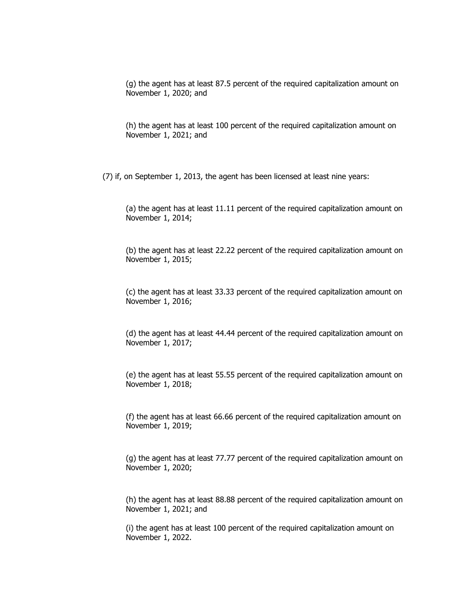(g) the agent has at least 87.5 percent of the required capitalization amount on November 1, 2020; and

(h) the agent has at least 100 percent of the required capitalization amount on November 1, 2021; and

(7) if, on September 1, 2013, the agent has been licensed at least nine years:

(a) the agent has at least 11.11 percent of the required capitalization amount on November 1, 2014;

(b) the agent has at least 22.22 percent of the required capitalization amount on November 1, 2015;

(c) the agent has at least 33.33 percent of the required capitalization amount on November 1, 2016;

(d) the agent has at least 44.44 percent of the required capitalization amount on November 1, 2017;

(e) the agent has at least 55.55 percent of the required capitalization amount on November 1, 2018;

(f) the agent has at least 66.66 percent of the required capitalization amount on November 1, 2019;

(g) the agent has at least 77.77 percent of the required capitalization amount on November 1, 2020;

(h) the agent has at least 88.88 percent of the required capitalization amount on November 1, 2021; and

(i) the agent has at least 100 percent of the required capitalization amount on November 1, 2022.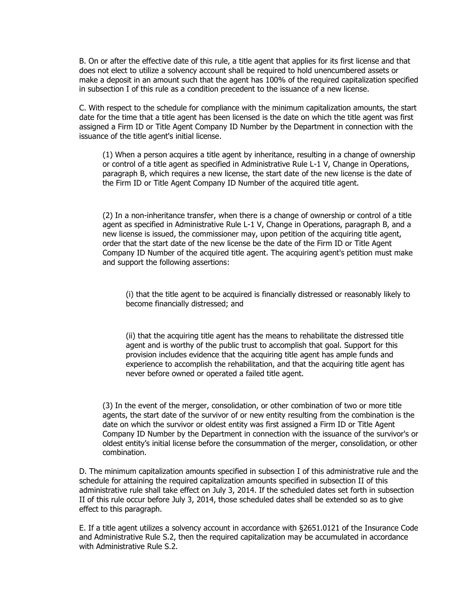B. On or after the effective date of this rule, a title agent that applies for its first license and that does not elect to utilize a solvency account shall be required to hold unencumbered assets or make a deposit in an amount such that the agent has 100% of the required capitalization specified in subsection I of this rule as a condition precedent to the issuance of a new license.

C. With respect to the schedule for compliance with the minimum capitalization amounts, the start date for the time that a title agent has been licensed is the date on which the title agent was first assigned a Firm ID or Title Agent Company ID Number by the Department in connection with the issuance of the title agent's initial license.

(1) When a person acquires a title agent by inheritance, resulting in a change of ownership or control of a title agent as specified in Administrative Rule L-1 V, Change in Operations, paragraph B, which requires a new license, the start date of the new license is the date of the Firm ID or Title Agent Company ID Number of the acquired title agent.

(2) In a non-inheritance transfer, when there is a change of ownership or control of a title agent as specified in Administrative Rule L-1 V, Change in Operations, paragraph B, and a new license is issued, the commissioner may, upon petition of the acquiring title agent, order that the start date of the new license be the date of the Firm ID or Title Agent Company ID Number of the acquired title agent. The acquiring agent's petition must make and support the following assertions:

(i) that the title agent to be acquired is financially distressed or reasonably likely to become financially distressed; and

(ii) that the acquiring title agent has the means to rehabilitate the distressed title agent and is worthy of the public trust to accomplish that goal. Support for this provision includes evidence that the acquiring title agent has ample funds and experience to accomplish the rehabilitation, and that the acquiring title agent has never before owned or operated a failed title agent.

(3) In the event of the merger, consolidation, or other combination of two or more title agents, the start date of the survivor of or new entity resulting from the combination is the date on which the survivor or oldest entity was first assigned a Firm ID or Title Agent Company ID Number by the Department in connection with the issuance of the survivor's or oldest entity's initial license before the consummation of the merger, consolidation, or other combination.

D. The minimum capitalization amounts specified in subsection I of this administrative rule and the schedule for attaining the required capitalization amounts specified in subsection II of this administrative rule shall take effect on July 3, 2014. If the scheduled dates set forth in subsection II of this rule occur before July 3, 2014, those scheduled dates shall be extended so as to give effect to this paragraph.

E. If a title agent utilizes a solvency account in accordance with §2651.0121 of the Insurance Code and Administrative Rule S.2, then the required capitalization may be accumulated in accordance with Administrative Rule S.2.